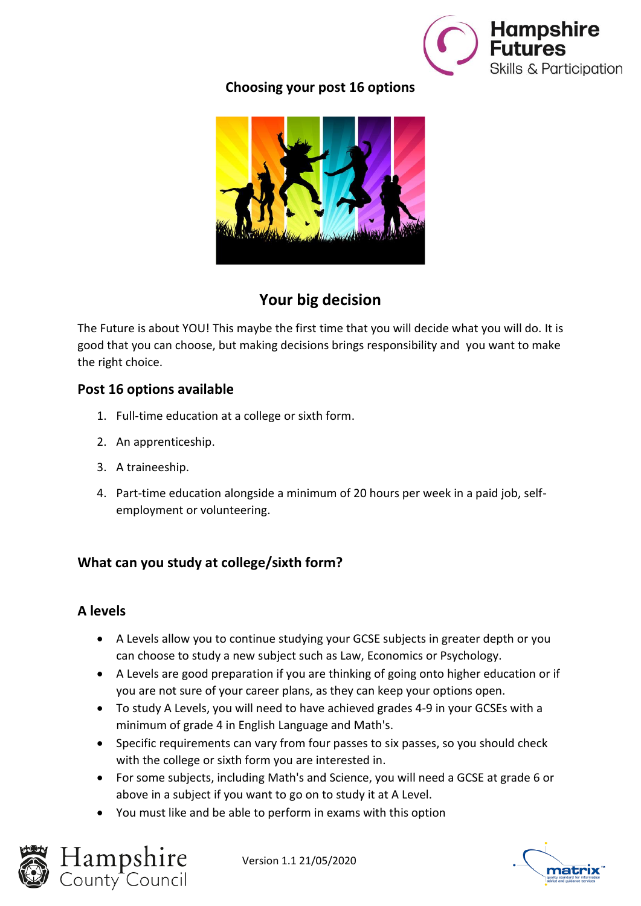

### **Choosing your post 16 options**



## **Your big decision**

The Future is about YOU! This maybe the first time that you will decide what you will do. It is good that you can choose, but making decisions brings responsibility and you want to make the right choice.

#### **Post 16 options available**

- 1. Full-time education at a college or sixth form.
- 2. An apprenticeship.
- 3. A traineeship.
- 4. Part-time education alongside a minimum of 20 hours per week in a paid job, selfemployment or volunteering.

#### **What can you study at college/sixth form?**

#### **A levels**

- A Levels allow you to continue studying your GCSE subjects in greater depth or you can choose to study a new subject such as Law, Economics or Psychology.
- A Levels are good preparation if you are thinking of going onto higher education or if you are not sure of your career plans, as they can keep your options open.
- To study A Levels, you will need to have achieved grades 4-9 in your GCSEs with a minimum of grade 4 in English Language and Math's.
- Specific requirements can vary from four passes to six passes, so you should check with the college or sixth form you are interested in.
- For some subjects, including Math's and Science, you will need a GCSE at grade 6 or above in a subject if you want to go on to study it at A Level.
- You must like and be able to perform in exams with this option



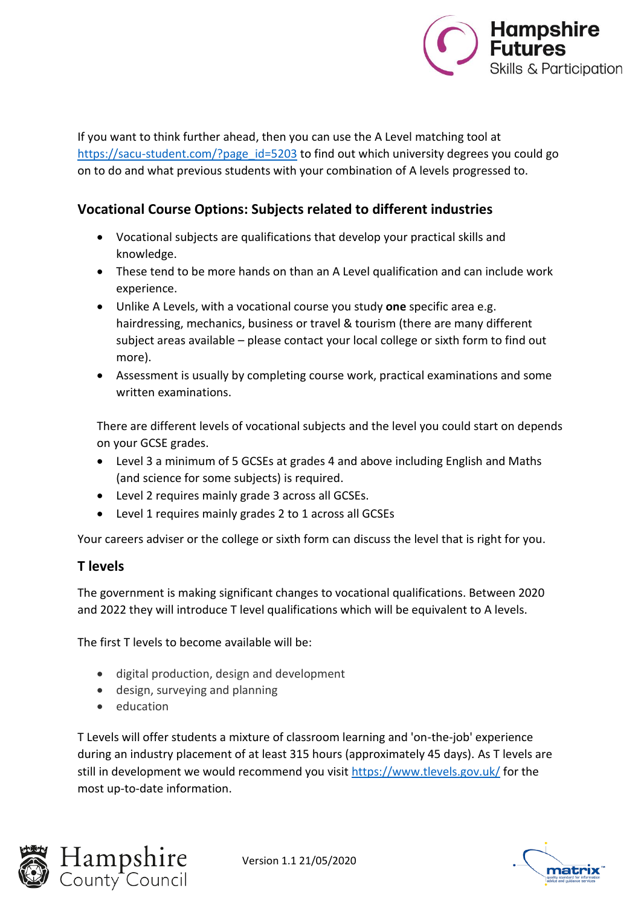

If you want to think further ahead, then you can use the A Level matching tool at [https://sacu-student.com/?page\\_id=5203](https://sacu-student.com/?page_id=5203) to find out which university degrees you could go on to do and what previous students with your combination of A levels progressed to.

#### **Vocational Course Options: Subjects related to different industries**

- Vocational subjects are qualifications that develop your practical skills and knowledge.
- These tend to be more hands on than an A Level qualification and can include work experience.
- Unlike A Levels, with a vocational course you study **one** specific area e.g. hairdressing, mechanics, business or travel & tourism (there are many different subject areas available – please contact your local college or sixth form to find out more).
- Assessment is usually by completing course work, practical examinations and some written examinations.

There are different levels of vocational subjects and the level you could start on depends on your GCSE grades.

- Level 3 a minimum of 5 GCSEs at grades 4 and above including English and Maths (and science for some subjects) is required.
- Level 2 requires mainly grade 3 across all GCSEs.
- Level 1 requires mainly grades 2 to 1 across all GCSEs

Your careers adviser or the college or sixth form can discuss the level that is right for you.

#### **T levels**

The government is making significant changes to vocational qualifications. Between 2020 and 2022 they will introduce T level qualifications which will be equivalent to A levels.

The first T levels to become available will be:

- digital production, design and development
- design, surveying and planning
- education

T Levels will offer students a mixture of classroom learning and 'on-the-job' experience during an industry placement of at least 315 hours (approximately 45 days). As T levels are still in development we would recommend you visit<https://www.tlevels.gov.uk/> for the most up-to-date information.



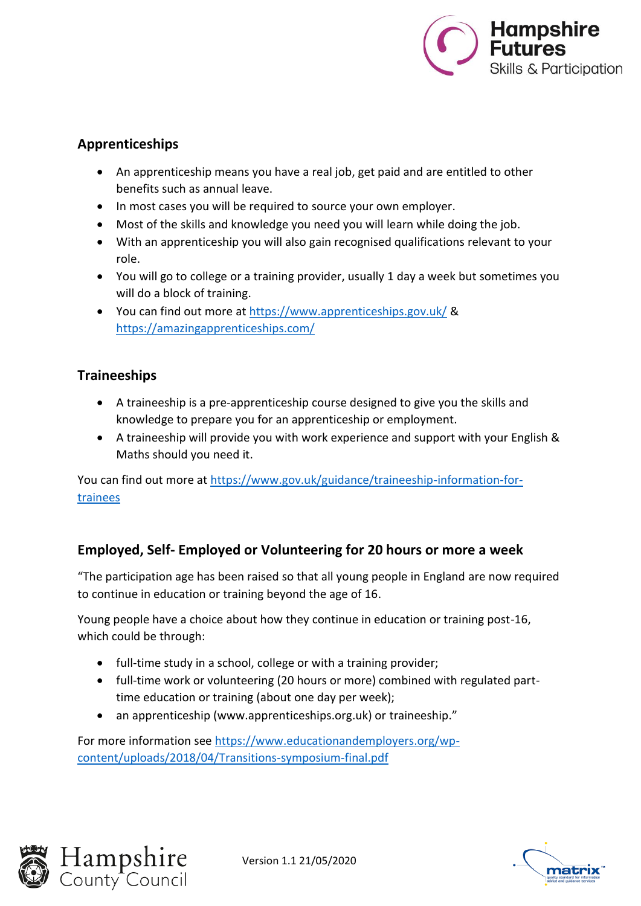

#### **Apprenticeships**

- An apprenticeship means you have a real job, get paid and are entitled to other benefits such as annual leave.
- In most cases you will be required to source your own employer.
- Most of the skills and knowledge you need you will learn while doing the job.
- With an apprenticeship you will also gain recognised qualifications relevant to your role.
- You will go to college or a training provider, usually 1 day a week but sometimes you will do a block of training.
- You can find out more at<https://www.apprenticeships.gov.uk/> & <https://amazingapprenticeships.com/>

#### **Traineeships**

- A traineeship is a pre-apprenticeship course designed to give you the skills and knowledge to prepare you for an apprenticeship or employment.
- A traineeship will provide you with work experience and support with your English & Maths should you need it.

You can find out more at [https://www.gov.uk/guidance/traineeship-information-for](https://www.gov.uk/guidance/traineeship-information-for-trainees)[trainees](https://www.gov.uk/guidance/traineeship-information-for-trainees)

#### **Employed, Self- Employed or Volunteering for 20 hours or more a week**

"The participation age has been raised so that all young people in England are now required to continue in education or training beyond the age of 16.

Young people have a choice about how they continue in education or training post-16, which could be through:

- full-time study in a school, college or with a training provider;
- full-time work or volunteering (20 hours or more) combined with regulated parttime education or training (about one day per week);
- an apprenticeship (www.apprenticeships.org.uk) or traineeship."

For more information see [https://www.educationandemployers.org/wp](https://www.educationandemployers.org/wp-content/uploads/2018/04/Transitions-symposium-final.pdf)[content/uploads/2018/04/Transitions-symposium-final.pdf](https://www.educationandemployers.org/wp-content/uploads/2018/04/Transitions-symposium-final.pdf)